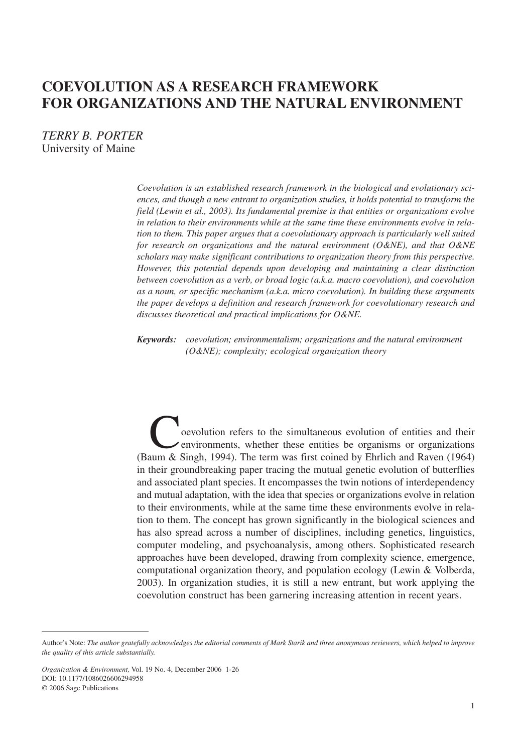# **COEVOLUTION AS A RESEARCH FRAMEWORK FOR ORGANIZATIONS AND THE NATURAL ENVIRONMENT**

*TERRY B. PORTER* University of Maine

> *Coevolution is an established research framework in the biological and evolutionary sciences, and though a new entrant to organization studies, it holds potential to transform the field (Lewin et al., 2003). Its fundamental premise is that entities or organizations evolve in relation to their environments while at the same time these environments evolve in relation to them. This paper argues that a coevolutionary approach is particularly well suited for research on organizations and the natural environment (O&NE), and that O&NE scholars may make significant contributions to organization theory from this perspective. However, this potential depends upon developing and maintaining a clear distinction between coevolution as a verb, or broad logic (a.k.a. macro coevolution), and coevolution as a noun, or specific mechanism (a.k.a. micro coevolution). In building these arguments the paper develops a definition and research framework for coevolutionary research and discusses theoretical and practical implications for O&NE.*

*Keywords: coevolution; environmentalism; organizations and the natural environment (O&NE); complexity; ecological organization theory*

Coevolution refers to the simultaneous evolution of entities and their environments, whether these entities be organisms or organizations (Baum & Singh, 1994). The term was first coined by Ehrlich and Raven (1964) in their groundbreaking paper tracing the mutual genetic evolution of butterflies and associated plant species. It encompasses the twin notions of interdependency and mutual adaptation, with the idea that species or organizations evolve in relation to their environments, while at the same time these environments evolve in relation to them. The concept has grown significantly in the biological sciences and has also spread across a number of disciplines, including genetics, linguistics, computer modeling, and psychoanalysis, among others. Sophisticated research approaches have been developed, drawing from complexity science, emergence, computational organization theory, and population ecology (Lewin & Volberda, 2003). In organization studies, it is still a new entrant, but work applying the coevolution construct has been garnering increasing attention in recent years.

Author's Note: *The author gratefully acknowledges the editorial comments of Mark Starik and three anonymous reviewers, which helped to improve the quality of this article substantially.*

*Organization & Environment,* Vol. 19 No. 4, December 2006 1-26 DOI: 10.1177/1086026606294958 © 2006 Sage Publications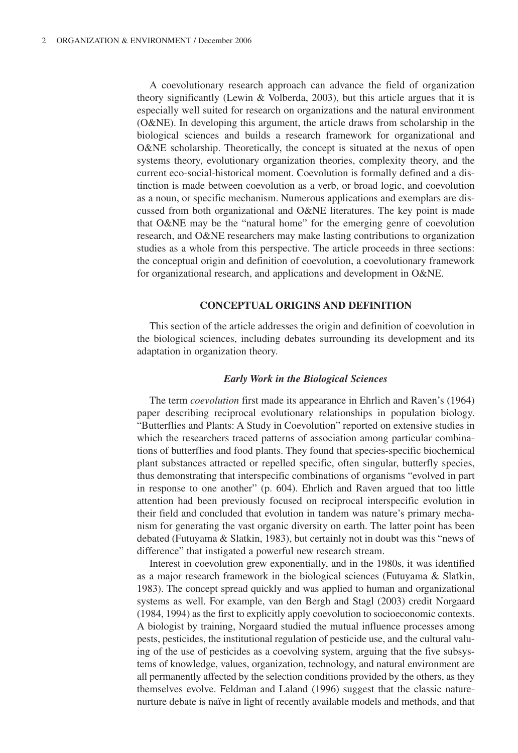A coevolutionary research approach can advance the field of organization theory significantly (Lewin & Volberda, 2003), but this article argues that it is especially well suited for research on organizations and the natural environment (O&NE). In developing this argument, the article draws from scholarship in the biological sciences and builds a research framework for organizational and O&NE scholarship. Theoretically, the concept is situated at the nexus of open systems theory, evolutionary organization theories, complexity theory, and the current eco-social-historical moment. Coevolution is formally defined and a distinction is made between coevolution as a verb, or broad logic, and coevolution as a noun, or specific mechanism. Numerous applications and exemplars are discussed from both organizational and O&NE literatures. The key point is made that O&NE may be the "natural home" for the emerging genre of coevolution research, and O&NE researchers may make lasting contributions to organization studies as a whole from this perspective. The article proceeds in three sections: the conceptual origin and definition of coevolution, a coevolutionary framework for organizational research, and applications and development in O&NE.

# **CONCEPTUAL ORIGINS AND DEFINITION**

This section of the article addresses the origin and definition of coevolution in the biological sciences, including debates surrounding its development and its adaptation in organization theory.

#### *Early Work in the Biological Sciences*

The term *coevolution* first made its appearance in Ehrlich and Raven's (1964) paper describing reciprocal evolutionary relationships in population biology. "Butterflies and Plants: A Study in Coevolution" reported on extensive studies in which the researchers traced patterns of association among particular combinations of butterflies and food plants. They found that species-specific biochemical plant substances attracted or repelled specific, often singular, butterfly species, thus demonstrating that interspecific combinations of organisms "evolved in part in response to one another" (p. 604). Ehrlich and Raven argued that too little attention had been previously focused on reciprocal interspecific evolution in their field and concluded that evolution in tandem was nature's primary mechanism for generating the vast organic diversity on earth. The latter point has been debated (Futuyama & Slatkin, 1983), but certainly not in doubt was this "news of difference" that instigated a powerful new research stream.

Interest in coevolution grew exponentially, and in the 1980s, it was identified as a major research framework in the biological sciences (Futuyama & Slatkin, 1983). The concept spread quickly and was applied to human and organizational systems as well. For example, van den Bergh and Stagl (2003) credit Norgaard (1984, 1994) as the first to explicitly apply coevolution to socioeconomic contexts. A biologist by training, Norgaard studied the mutual influence processes among pests, pesticides, the institutional regulation of pesticide use, and the cultural valuing of the use of pesticides as a coevolving system, arguing that the five subsystems of knowledge, values, organization, technology, and natural environment are all permanently affected by the selection conditions provided by the others, as they themselves evolve. Feldman and Laland (1996) suggest that the classic naturenurture debate is naïve in light of recently available models and methods, and that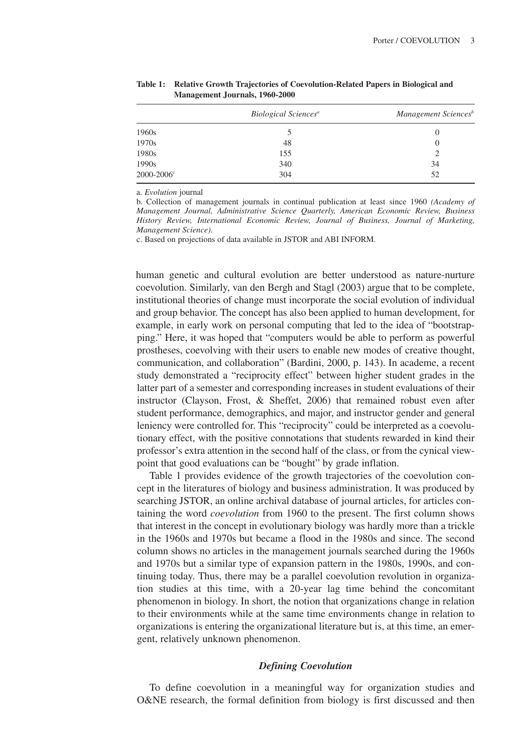|                 | Biological Sciences <sup>a</sup> | Management Sciences <sup>b</sup> |
|-----------------|----------------------------------|----------------------------------|
| 1960s           |                                  |                                  |
| 1970s           | 48                               | O                                |
| 1980s           | 155                              |                                  |
| 1990s           | 340                              | 34                               |
| $2000 - 2006$ ° | 304                              | 52                               |

**Table 1: Relative Growth Trajectories of Coevolution-Related Papers in Biological and Management Journals, 1960-2000**

a. *Evolution* journal

b. Collection of management journals in continual publication at least since 1960 *(Academy of Management Journal, Administrative Science Quarterly, American Economic Review, Business History Review, International Economic Review, Journal of Business, Journal of Marketing, Management Science)*.

c. Based on projections of data available in JSTOR and ABI INFORM.

human genetic and cultural evolution are better understood as nature-nurture coevolution. Similarly, van den Bergh and Stagl (2003) argue that to be complete, institutional theories of change must incorporate the social evolution of individual and group behavior. The concept has also been applied to human development, for example, in early work on personal computing that led to the idea of "bootstrapping." Here, it was hoped that "computers would be able to perform as powerful prostheses, coevolving with their users to enable new modes of creative thought, communication, and collaboration" (Bardini, 2000, p. 143). In academe, a recent study demonstrated a "reciprocity effect" between higher student grades in the latter part of a semester and corresponding increases in student evaluations of their instructor (Clayson, Frost, & Sheffet, 2006) that remained robust even after student performance, demographics, and major, and instructor gender and general leniency were controlled for. This "reciprocity" could be interpreted as a coevolutionary effect, with the positive connotations that students rewarded in kind their professor's extra attention in the second half of the class, or from the cynical viewpoint that good evaluations can be "bought" by grade inflation.

Table 1 provides evidence of the growth trajectories of the coevolution concept in the literatures of biology and business administration. It was produced by searching JSTOR, an online archival database of journal articles, for articles containing the word *coevolution* from 1960 to the present. The first column shows that interest in the concept in evolutionary biology was hardly more than a trickle in the 1960s and 1970s but became a flood in the 1980s and since. The second column shows no articles in the management journals searched during the 1960s and 1970s but a similar type of expansion pattern in the 1980s, 1990s, and continuing today. Thus, there may be a parallel coevolution revolution in organization studies at this time, with a 20-year lag time behind the concomitant phenomenon in biology. In short, the notion that organizations change in relation to their environments while at the same time environments change in relation to organizations is entering the organizational literature but is, at this time, an emergent, relatively unknown phenomenon.

#### *Defining Coevolution*

To define coevolution in a meaningful way for organization studies and O&NE research, the formal definition from biology is first discussed and then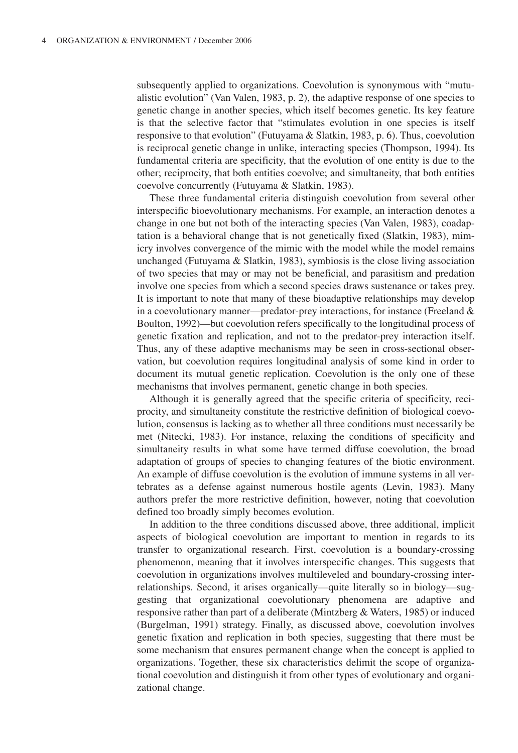subsequently applied to organizations. Coevolution is synonymous with "mutualistic evolution" (Van Valen, 1983, p. 2), the adaptive response of one species to genetic change in another species, which itself becomes genetic. Its key feature is that the selective factor that "stimulates evolution in one species is itself responsive to that evolution" (Futuyama & Slatkin, 1983, p. 6). Thus, coevolution is reciprocal genetic change in unlike, interacting species (Thompson, 1994). Its fundamental criteria are specificity, that the evolution of one entity is due to the other; reciprocity, that both entities coevolve; and simultaneity, that both entities coevolve concurrently (Futuyama & Slatkin, 1983).

These three fundamental criteria distinguish coevolution from several other interspecific bioevolutionary mechanisms. For example, an interaction denotes a change in one but not both of the interacting species (Van Valen, 1983), coadaptation is a behavioral change that is not genetically fixed (Slatkin, 1983), mimicry involves convergence of the mimic with the model while the model remains unchanged (Futuyama & Slatkin, 1983), symbiosis is the close living association of two species that may or may not be beneficial, and parasitism and predation involve one species from which a second species draws sustenance or takes prey. It is important to note that many of these bioadaptive relationships may develop in a coevolutionary manner—predator-prey interactions, for instance (Freeland & Boulton, 1992)—but coevolution refers specifically to the longitudinal process of genetic fixation and replication, and not to the predator-prey interaction itself. Thus, any of these adaptive mechanisms may be seen in cross-sectional observation, but coevolution requires longitudinal analysis of some kind in order to document its mutual genetic replication. Coevolution is the only one of these mechanisms that involves permanent, genetic change in both species.

Although it is generally agreed that the specific criteria of specificity, reciprocity, and simultaneity constitute the restrictive definition of biological coevolution, consensus is lacking as to whether all three conditions must necessarily be met (Nitecki, 1983). For instance, relaxing the conditions of specificity and simultaneity results in what some have termed diffuse coevolution, the broad adaptation of groups of species to changing features of the biotic environment. An example of diffuse coevolution is the evolution of immune systems in all vertebrates as a defense against numerous hostile agents (Levin, 1983). Many authors prefer the more restrictive definition, however, noting that coevolution defined too broadly simply becomes evolution.

In addition to the three conditions discussed above, three additional, implicit aspects of biological coevolution are important to mention in regards to its transfer to organizational research. First, coevolution is a boundary-crossing phenomenon, meaning that it involves interspecific changes. This suggests that coevolution in organizations involves multileveled and boundary-crossing interrelationships. Second, it arises organically—quite literally so in biology—suggesting that organizational coevolutionary phenomena are adaptive and responsive rather than part of a deliberate (Mintzberg & Waters, 1985) or induced (Burgelman, 1991) strategy. Finally, as discussed above, coevolution involves genetic fixation and replication in both species, suggesting that there must be some mechanism that ensures permanent change when the concept is applied to organizations. Together, these six characteristics delimit the scope of organizational coevolution and distinguish it from other types of evolutionary and organizational change.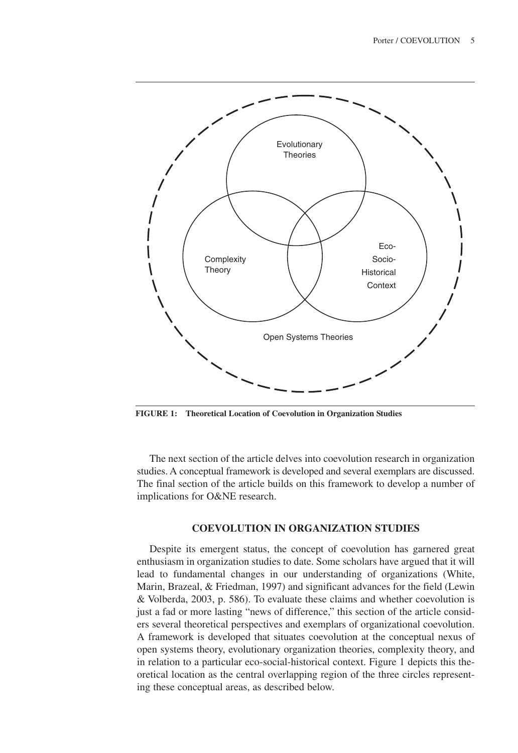

**FIGURE 1: Theoretical Location of Coevolution in Organization Studies**

The next section of the article delves into coevolution research in organization studies. A conceptual framework is developed and several exemplars are discussed. The final section of the article builds on this framework to develop a number of implications for O&NE research.

## **COEVOLUTION IN ORGANIZATION STUDIES**

Despite its emergent status, the concept of coevolution has garnered great enthusiasm in organization studies to date. Some scholars have argued that it will lead to fundamental changes in our understanding of organizations (White, Marin, Brazeal, & Friedman, 1997) and significant advances for the field (Lewin & Volberda, 2003, p. 586). To evaluate these claims and whether coevolution is just a fad or more lasting "news of difference," this section of the article considers several theoretical perspectives and exemplars of organizational coevolution. A framework is developed that situates coevolution at the conceptual nexus of open systems theory, evolutionary organization theories, complexity theory, and in relation to a particular eco-social-historical context. Figure 1 depicts this theoretical location as the central overlapping region of the three circles representing these conceptual areas, as described below.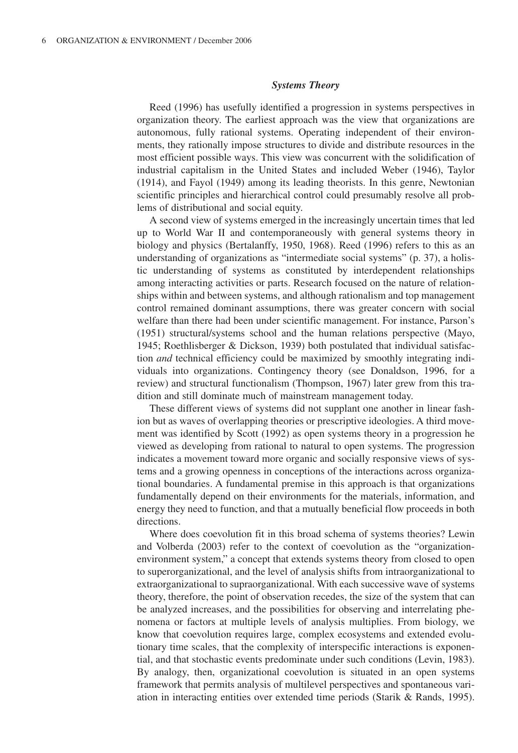#### *Systems Theory*

Reed (1996) has usefully identified a progression in systems perspectives in organization theory. The earliest approach was the view that organizations are autonomous, fully rational systems. Operating independent of their environments, they rationally impose structures to divide and distribute resources in the most efficient possible ways. This view was concurrent with the solidification of industrial capitalism in the United States and included Weber (1946), Taylor (1914), and Fayol (1949) among its leading theorists. In this genre, Newtonian scientific principles and hierarchical control could presumably resolve all problems of distributional and social equity.

A second view of systems emerged in the increasingly uncertain times that led up to World War II and contemporaneously with general systems theory in biology and physics (Bertalanffy, 1950, 1968). Reed (1996) refers to this as an understanding of organizations as "intermediate social systems" (p. 37), a holistic understanding of systems as constituted by interdependent relationships among interacting activities or parts. Research focused on the nature of relationships within and between systems, and although rationalism and top management control remained dominant assumptions, there was greater concern with social welfare than there had been under scientific management. For instance, Parson's (1951) structural/systems school and the human relations perspective (Mayo, 1945; Roethlisberger & Dickson, 1939) both postulated that individual satisfaction *and* technical efficiency could be maximized by smoothly integrating individuals into organizations. Contingency theory (see Donaldson, 1996, for a review) and structural functionalism (Thompson, 1967) later grew from this tradition and still dominate much of mainstream management today.

These different views of systems did not supplant one another in linear fashion but as waves of overlapping theories or prescriptive ideologies. A third movement was identified by Scott (1992) as open systems theory in a progression he viewed as developing from rational to natural to open systems. The progression indicates a movement toward more organic and socially responsive views of systems and a growing openness in conceptions of the interactions across organizational boundaries. A fundamental premise in this approach is that organizations fundamentally depend on their environments for the materials, information, and energy they need to function, and that a mutually beneficial flow proceeds in both directions.

Where does coevolution fit in this broad schema of systems theories? Lewin and Volberda (2003) refer to the context of coevolution as the "organizationenvironment system," a concept that extends systems theory from closed to open to superorganizational, and the level of analysis shifts from intraorganizational to extraorganizational to supraorganizational. With each successive wave of systems theory, therefore, the point of observation recedes, the size of the system that can be analyzed increases, and the possibilities for observing and interrelating phenomena or factors at multiple levels of analysis multiplies. From biology, we know that coevolution requires large, complex ecosystems and extended evolutionary time scales, that the complexity of interspecific interactions is exponential, and that stochastic events predominate under such conditions (Levin, 1983). By analogy, then, organizational coevolution is situated in an open systems framework that permits analysis of multilevel perspectives and spontaneous variation in interacting entities over extended time periods (Starik & Rands, 1995).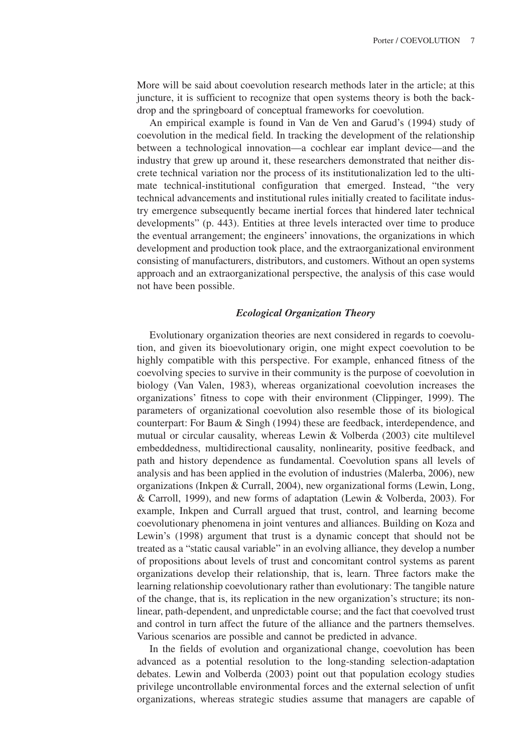More will be said about coevolution research methods later in the article; at this juncture, it is sufficient to recognize that open systems theory is both the backdrop and the springboard of conceptual frameworks for coevolution.

An empirical example is found in Van de Ven and Garud's (1994) study of coevolution in the medical field. In tracking the development of the relationship between a technological innovation—a cochlear ear implant device—and the industry that grew up around it, these researchers demonstrated that neither discrete technical variation nor the process of its institutionalization led to the ultimate technical-institutional configuration that emerged. Instead, "the very technical advancements and institutional rules initially created to facilitate industry emergence subsequently became inertial forces that hindered later technical developments" (p. 443). Entities at three levels interacted over time to produce the eventual arrangement; the engineers' innovations, the organizations in which development and production took place, and the extraorganizational environment consisting of manufacturers, distributors, and customers. Without an open systems approach and an extraorganizational perspective, the analysis of this case would not have been possible.

#### *Ecological Organization Theory*

Evolutionary organization theories are next considered in regards to coevolution, and given its bioevolutionary origin, one might expect coevolution to be highly compatible with this perspective. For example, enhanced fitness of the coevolving species to survive in their community is the purpose of coevolution in biology (Van Valen, 1983), whereas organizational coevolution increases the organizations' fitness to cope with their environment (Clippinger, 1999). The parameters of organizational coevolution also resemble those of its biological counterpart: For Baum & Singh (1994) these are feedback, interdependence, and mutual or circular causality, whereas Lewin & Volberda (2003) cite multilevel embeddedness, multidirectional causality, nonlinearity, positive feedback, and path and history dependence as fundamental. Coevolution spans all levels of analysis and has been applied in the evolution of industries (Malerba, 2006), new organizations (Inkpen & Currall, 2004), new organizational forms (Lewin, Long, & Carroll, 1999), and new forms of adaptation (Lewin & Volberda, 2003). For example, Inkpen and Currall argued that trust, control, and learning become coevolutionary phenomena in joint ventures and alliances. Building on Koza and Lewin's (1998) argument that trust is a dynamic concept that should not be treated as a "static causal variable" in an evolving alliance, they develop a number of propositions about levels of trust and concomitant control systems as parent organizations develop their relationship, that is, learn. Three factors make the learning relationship coevolutionary rather than evolutionary: The tangible nature of the change, that is, its replication in the new organization's structure; its nonlinear, path-dependent, and unpredictable course; and the fact that coevolved trust and control in turn affect the future of the alliance and the partners themselves. Various scenarios are possible and cannot be predicted in advance.

In the fields of evolution and organizational change, coevolution has been advanced as a potential resolution to the long-standing selection-adaptation debates. Lewin and Volberda (2003) point out that population ecology studies privilege uncontrollable environmental forces and the external selection of unfit organizations, whereas strategic studies assume that managers are capable of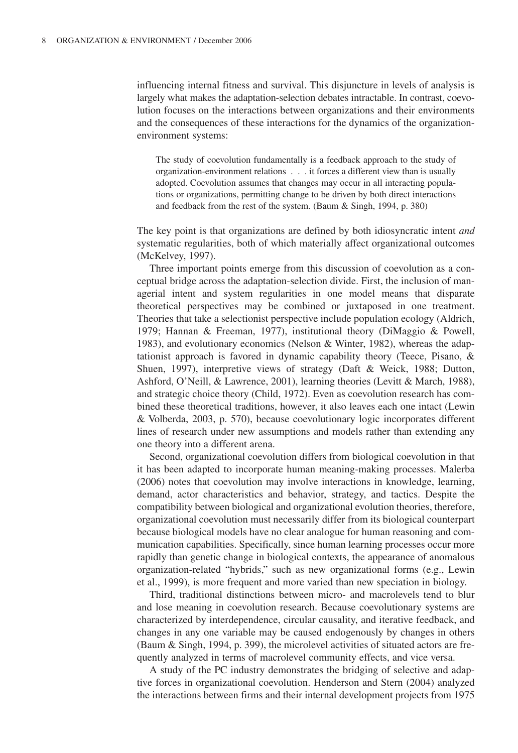influencing internal fitness and survival. This disjuncture in levels of analysis is largely what makes the adaptation-selection debates intractable. In contrast, coevolution focuses on the interactions between organizations and their environments and the consequences of these interactions for the dynamics of the organizationenvironment systems:

The study of coevolution fundamentally is a feedback approach to the study of organization-environment relations . . . it forces a different view than is usually adopted. Coevolution assumes that changes may occur in all interacting populations or organizations, permitting change to be driven by both direct interactions and feedback from the rest of the system. (Baum & Singh, 1994, p. 380)

The key point is that organizations are defined by both idiosyncratic intent *and* systematic regularities, both of which materially affect organizational outcomes (McKelvey, 1997).

Three important points emerge from this discussion of coevolution as a conceptual bridge across the adaptation-selection divide. First, the inclusion of managerial intent and system regularities in one model means that disparate theoretical perspectives may be combined or juxtaposed in one treatment. Theories that take a selectionist perspective include population ecology (Aldrich, 1979; Hannan & Freeman, 1977), institutional theory (DiMaggio & Powell, 1983), and evolutionary economics (Nelson & Winter, 1982), whereas the adaptationist approach is favored in dynamic capability theory (Teece, Pisano, & Shuen, 1997), interpretive views of strategy (Daft & Weick, 1988; Dutton, Ashford, O'Neill, & Lawrence, 2001), learning theories (Levitt & March, 1988), and strategic choice theory (Child, 1972). Even as coevolution research has combined these theoretical traditions, however, it also leaves each one intact (Lewin & Volberda, 2003, p. 570), because coevolutionary logic incorporates different lines of research under new assumptions and models rather than extending any one theory into a different arena.

Second, organizational coevolution differs from biological coevolution in that it has been adapted to incorporate human meaning-making processes. Malerba (2006) notes that coevolution may involve interactions in knowledge, learning, demand, actor characteristics and behavior, strategy, and tactics. Despite the compatibility between biological and organizational evolution theories, therefore, organizational coevolution must necessarily differ from its biological counterpart because biological models have no clear analogue for human reasoning and communication capabilities. Specifically, since human learning processes occur more rapidly than genetic change in biological contexts, the appearance of anomalous organization-related "hybrids," such as new organizational forms (e.g., Lewin et al., 1999), is more frequent and more varied than new speciation in biology.

Third, traditional distinctions between micro- and macrolevels tend to blur and lose meaning in coevolution research. Because coevolutionary systems are characterized by interdependence, circular causality, and iterative feedback, and changes in any one variable may be caused endogenously by changes in others (Baum & Singh, 1994, p. 399), the microlevel activities of situated actors are frequently analyzed in terms of macrolevel community effects, and vice versa.

A study of the PC industry demonstrates the bridging of selective and adaptive forces in organizational coevolution. Henderson and Stern (2004) analyzed the interactions between firms and their internal development projects from 1975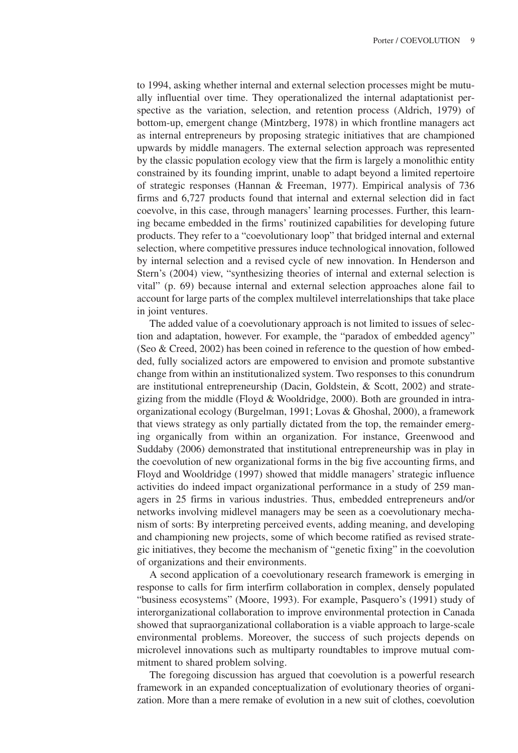to 1994, asking whether internal and external selection processes might be mutually influential over time. They operationalized the internal adaptationist perspective as the variation, selection, and retention process (Aldrich, 1979) of bottom-up, emergent change (Mintzberg, 1978) in which frontline managers act as internal entrepreneurs by proposing strategic initiatives that are championed upwards by middle managers. The external selection approach was represented by the classic population ecology view that the firm is largely a monolithic entity constrained by its founding imprint, unable to adapt beyond a limited repertoire of strategic responses (Hannan & Freeman, 1977). Empirical analysis of 736 firms and 6,727 products found that internal and external selection did in fact coevolve, in this case, through managers' learning processes. Further, this learning became embedded in the firms' routinized capabilities for developing future products. They refer to a "coevolutionary loop" that bridged internal and external selection, where competitive pressures induce technological innovation, followed by internal selection and a revised cycle of new innovation. In Henderson and Stern's (2004) view, "synthesizing theories of internal and external selection is vital" (p. 69) because internal and external selection approaches alone fail to account for large parts of the complex multilevel interrelationships that take place in joint ventures.

The added value of a coevolutionary approach is not limited to issues of selection and adaptation, however. For example, the "paradox of embedded agency" (Seo & Creed, 2002) has been coined in reference to the question of how embedded, fully socialized actors are empowered to envision and promote substantive change from within an institutionalized system. Two responses to this conundrum are institutional entrepreneurship (Dacin, Goldstein, & Scott, 2002) and strategizing from the middle (Floyd & Wooldridge, 2000). Both are grounded in intraorganizational ecology (Burgelman, 1991; Lovas & Ghoshal, 2000), a framework that views strategy as only partially dictated from the top, the remainder emerging organically from within an organization. For instance, Greenwood and Suddaby (2006) demonstrated that institutional entrepreneurship was in play in the coevolution of new organizational forms in the big five accounting firms, and Floyd and Wooldridge (1997) showed that middle managers' strategic influence activities do indeed impact organizational performance in a study of 259 managers in 25 firms in various industries. Thus, embedded entrepreneurs and/or networks involving midlevel managers may be seen as a coevolutionary mechanism of sorts: By interpreting perceived events, adding meaning, and developing and championing new projects, some of which become ratified as revised strategic initiatives, they become the mechanism of "genetic fixing" in the coevolution of organizations and their environments.

A second application of a coevolutionary research framework is emerging in response to calls for firm interfirm collaboration in complex, densely populated "business ecosystems" (Moore, 1993). For example, Pasquero's (1991) study of interorganizational collaboration to improve environmental protection in Canada showed that supraorganizational collaboration is a viable approach to large-scale environmental problems. Moreover, the success of such projects depends on microlevel innovations such as multiparty roundtables to improve mutual commitment to shared problem solving.

The foregoing discussion has argued that coevolution is a powerful research framework in an expanded conceptualization of evolutionary theories of organization. More than a mere remake of evolution in a new suit of clothes, coevolution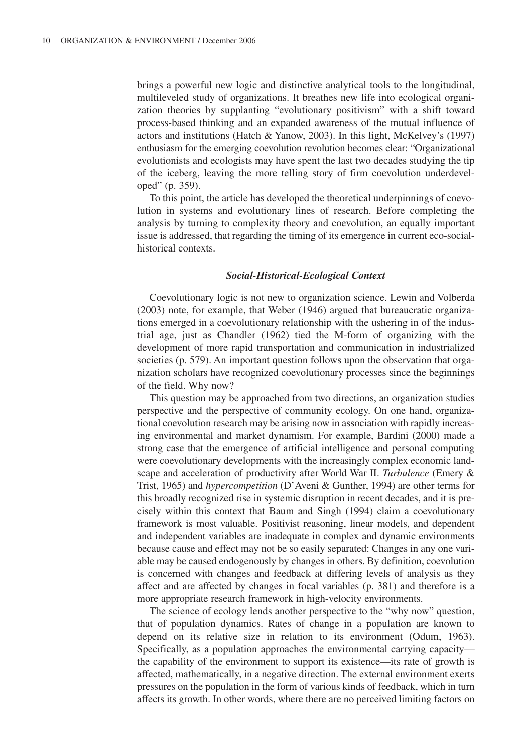brings a powerful new logic and distinctive analytical tools to the longitudinal, multileveled study of organizations. It breathes new life into ecological organization theories by supplanting "evolutionary positivism" with a shift toward process-based thinking and an expanded awareness of the mutual influence of actors and institutions (Hatch & Yanow, 2003). In this light, McKelvey's (1997) enthusiasm for the emerging coevolution revolution becomes clear: "Organizational evolutionists and ecologists may have spent the last two decades studying the tip of the iceberg, leaving the more telling story of firm coevolution underdeveloped" (p. 359).

To this point, the article has developed the theoretical underpinnings of coevolution in systems and evolutionary lines of research. Before completing the analysis by turning to complexity theory and coevolution, an equally important issue is addressed, that regarding the timing of its emergence in current eco-socialhistorical contexts.

## *Social-Historical-Ecological Context*

Coevolutionary logic is not new to organization science. Lewin and Volberda (2003) note, for example, that Weber (1946) argued that bureaucratic organizations emerged in a coevolutionary relationship with the ushering in of the industrial age, just as Chandler (1962) tied the M-form of organizing with the development of more rapid transportation and communication in industrialized societies (p. 579). An important question follows upon the observation that organization scholars have recognized coevolutionary processes since the beginnings of the field. Why now?

This question may be approached from two directions, an organization studies perspective and the perspective of community ecology. On one hand, organizational coevolution research may be arising now in association with rapidly increasing environmental and market dynamism. For example, Bardini (2000) made a strong case that the emergence of artificial intelligence and personal computing were coevolutionary developments with the increasingly complex economic landscape and acceleration of productivity after World War II. *Turbulence* (Emery & Trist, 1965) and *hypercompetition* (D'Aveni & Gunther, 1994) are other terms for this broadly recognized rise in systemic disruption in recent decades, and it is precisely within this context that Baum and Singh (1994) claim a coevolutionary framework is most valuable. Positivist reasoning, linear models, and dependent and independent variables are inadequate in complex and dynamic environments because cause and effect may not be so easily separated: Changes in any one variable may be caused endogenously by changes in others. By definition, coevolution is concerned with changes and feedback at differing levels of analysis as they affect and are affected by changes in focal variables (p. 381) and therefore is a more appropriate research framework in high-velocity environments.

The science of ecology lends another perspective to the "why now" question, that of population dynamics. Rates of change in a population are known to depend on its relative size in relation to its environment (Odum, 1963). Specifically, as a population approaches the environmental carrying capacity the capability of the environment to support its existence—its rate of growth is affected, mathematically, in a negative direction. The external environment exerts pressures on the population in the form of various kinds of feedback, which in turn affects its growth. In other words, where there are no perceived limiting factors on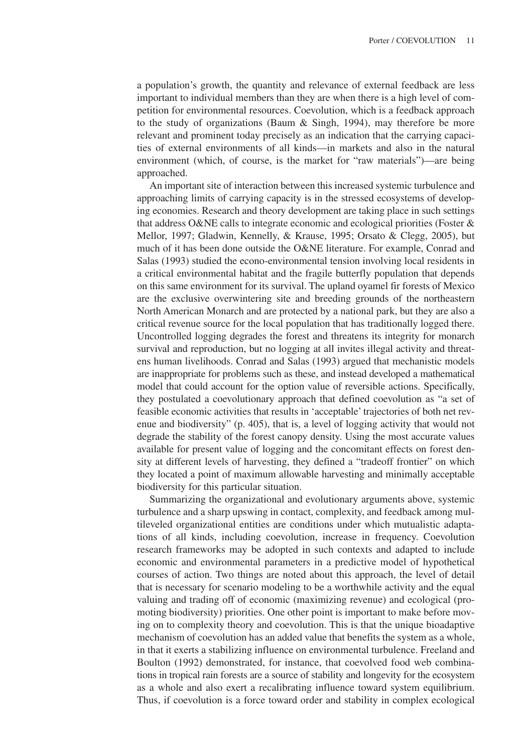a population's growth, the quantity and relevance of external feedback are less important to individual members than they are when there is a high level of competition for environmental resources. Coevolution, which is a feedback approach to the study of organizations (Baum & Singh, 1994), may therefore be more relevant and prominent today precisely as an indication that the carrying capacities of external environments of all kinds—in markets and also in the natural environment (which, of course, is the market for "raw materials")—are being approached.

An important site of interaction between this increased systemic turbulence and approaching limits of carrying capacity is in the stressed ecosystems of developing economies. Research and theory development are taking place in such settings that address O&NE calls to integrate economic and ecological priorities (Foster & Mellor, 1997; Gladwin, Kennelly, & Krause, 1995; Orsato & Clegg, 2005), but much of it has been done outside the O&NE literature. For example, Conrad and Salas (1993) studied the econo-environmental tension involving local residents in a critical environmental habitat and the fragile butterfly population that depends on this same environment for its survival. The upland oyamel fir forests of Mexico are the exclusive overwintering site and breeding grounds of the northeastern North American Monarch and are protected by a national park, but they are also a critical revenue source for the local population that has traditionally logged there. Uncontrolled logging degrades the forest and threatens its integrity for monarch survival and reproduction, but no logging at all invites illegal activity and threatens human livelihoods. Conrad and Salas (1993) argued that mechanistic models are inappropriate for problems such as these, and instead developed a mathematical model that could account for the option value of reversible actions. Specifically, they postulated a coevolutionary approach that defined coevolution as "a set of feasible economic activities that results in 'acceptable' trajectories of both net revenue and biodiversity" (p. 405), that is, a level of logging activity that would not degrade the stability of the forest canopy density. Using the most accurate values available for present value of logging and the concomitant effects on forest density at different levels of harvesting, they defined a "tradeoff frontier" on which they located a point of maximum allowable harvesting and minimally acceptable biodiversity for this particular situation.

Summarizing the organizational and evolutionary arguments above, systemic turbulence and a sharp upswing in contact, complexity, and feedback among multileveled organizational entities are conditions under which mutualistic adaptations of all kinds, including coevolution, increase in frequency. Coevolution research frameworks may be adopted in such contexts and adapted to include economic and environmental parameters in a predictive model of hypothetical courses of action. Two things are noted about this approach, the level of detail that is necessary for scenario modeling to be a worthwhile activity and the equal valuing and trading off of economic (maximizing revenue) and ecological (promoting biodiversity) priorities. One other point is important to make before moving on to complexity theory and coevolution. This is that the unique bioadaptive mechanism of coevolution has an added value that benefits the system as a whole, in that it exerts a stabilizing influence on environmental turbulence. Freeland and Boulton (1992) demonstrated, for instance, that coevolved food web combinations in tropical rain forests are a source of stability and longevity for the ecosystem as a whole and also exert a recalibrating influence toward system equilibrium. Thus, if coevolution is a force toward order and stability in complex ecological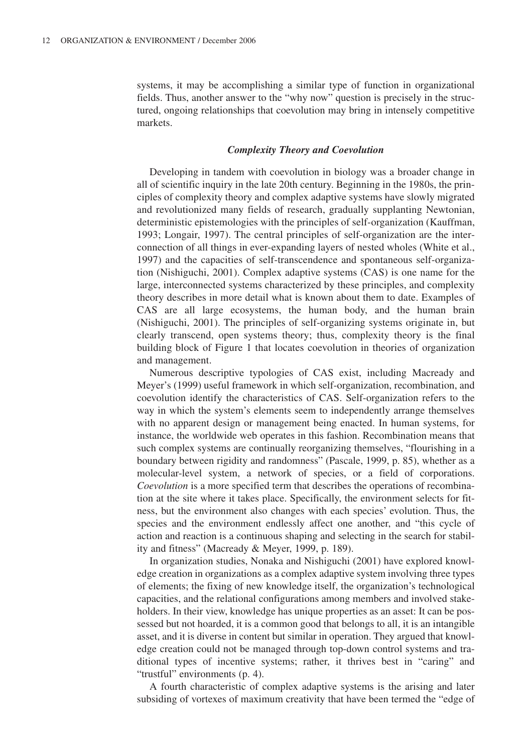systems, it may be accomplishing a similar type of function in organizational fields. Thus, another answer to the "why now" question is precisely in the structured, ongoing relationships that coevolution may bring in intensely competitive markets.

#### *Complexity Theory and Coevolution*

Developing in tandem with coevolution in biology was a broader change in all of scientific inquiry in the late 20th century. Beginning in the 1980s, the principles of complexity theory and complex adaptive systems have slowly migrated and revolutionized many fields of research, gradually supplanting Newtonian, deterministic epistemologies with the principles of self-organization (Kauffman, 1993; Longair, 1997). The central principles of self-organization are the interconnection of all things in ever-expanding layers of nested wholes (White et al., 1997) and the capacities of self-transcendence and spontaneous self-organization (Nishiguchi, 2001). Complex adaptive systems (CAS) is one name for the large, interconnected systems characterized by these principles, and complexity theory describes in more detail what is known about them to date. Examples of CAS are all large ecosystems, the human body, and the human brain (Nishiguchi, 2001). The principles of self-organizing systems originate in, but clearly transcend, open systems theory; thus, complexity theory is the final building block of Figure 1 that locates coevolution in theories of organization and management.

Numerous descriptive typologies of CAS exist, including Macready and Meyer's (1999) useful framework in which self-organization, recombination, and coevolution identify the characteristics of CAS. Self-organization refers to the way in which the system's elements seem to independently arrange themselves with no apparent design or management being enacted. In human systems, for instance, the worldwide web operates in this fashion. Recombination means that such complex systems are continually reorganizing themselves, "flourishing in a boundary between rigidity and randomness" (Pascale, 1999, p. 85), whether as a molecular-level system, a network of species, or a field of corporations. *Coevolution* is a more specified term that describes the operations of recombination at the site where it takes place. Specifically, the environment selects for fitness, but the environment also changes with each species' evolution. Thus, the species and the environment endlessly affect one another, and "this cycle of action and reaction is a continuous shaping and selecting in the search for stability and fitness" (Macready & Meyer, 1999, p. 189).

In organization studies, Nonaka and Nishiguchi (2001) have explored knowledge creation in organizations as a complex adaptive system involving three types of elements; the fixing of new knowledge itself, the organization's technological capacities, and the relational configurations among members and involved stakeholders. In their view, knowledge has unique properties as an asset: It can be possessed but not hoarded, it is a common good that belongs to all, it is an intangible asset, and it is diverse in content but similar in operation. They argued that knowledge creation could not be managed through top-down control systems and traditional types of incentive systems; rather, it thrives best in "caring" and "trustful" environments (p. 4).

A fourth characteristic of complex adaptive systems is the arising and later subsiding of vortexes of maximum creativity that have been termed the "edge of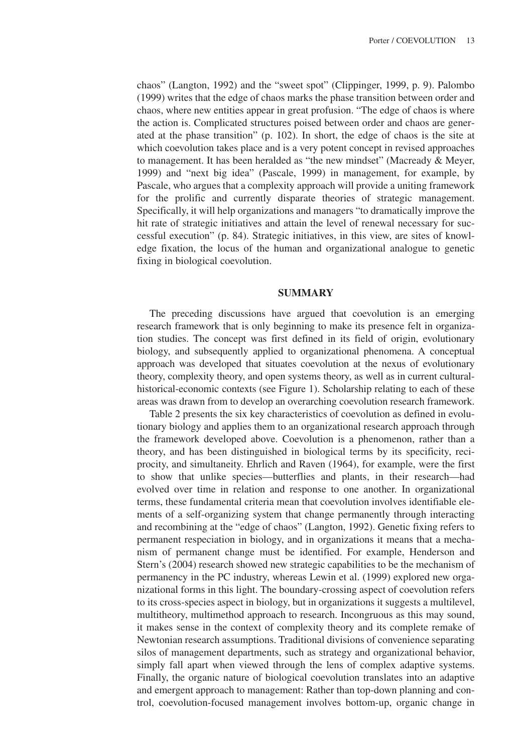chaos" (Langton, 1992) and the "sweet spot" (Clippinger, 1999, p. 9). Palombo (1999) writes that the edge of chaos marks the phase transition between order and chaos, where new entities appear in great profusion. "The edge of chaos is where the action is. Complicated structures poised between order and chaos are generated at the phase transition" (p. 102). In short, the edge of chaos is the site at which coevolution takes place and is a very potent concept in revised approaches to management. It has been heralded as "the new mindset" (Macready & Meyer, 1999) and "next big idea" (Pascale, 1999) in management, for example, by Pascale, who argues that a complexity approach will provide a uniting framework for the prolific and currently disparate theories of strategic management. Specifically, it will help organizations and managers "to dramatically improve the hit rate of strategic initiatives and attain the level of renewal necessary for successful execution" (p. 84). Strategic initiatives, in this view, are sites of knowledge fixation, the locus of the human and organizational analogue to genetic fixing in biological coevolution.

## **SUMMARY**

The preceding discussions have argued that coevolution is an emerging research framework that is only beginning to make its presence felt in organization studies. The concept was first defined in its field of origin, evolutionary biology, and subsequently applied to organizational phenomena. A conceptual approach was developed that situates coevolution at the nexus of evolutionary theory, complexity theory, and open systems theory, as well as in current culturalhistorical-economic contexts (see Figure 1). Scholarship relating to each of these areas was drawn from to develop an overarching coevolution research framework.

Table 2 presents the six key characteristics of coevolution as defined in evolutionary biology and applies them to an organizational research approach through the framework developed above. Coevolution is a phenomenon, rather than a theory, and has been distinguished in biological terms by its specificity, reciprocity, and simultaneity. Ehrlich and Raven (1964), for example, were the first to show that unlike species—butterflies and plants, in their research—had evolved over time in relation and response to one another. In organizational terms, these fundamental criteria mean that coevolution involves identifiable elements of a self-organizing system that change permanently through interacting and recombining at the "edge of chaos" (Langton, 1992). Genetic fixing refers to permanent respeciation in biology, and in organizations it means that a mechanism of permanent change must be identified. For example, Henderson and Stern's (2004) research showed new strategic capabilities to be the mechanism of permanency in the PC industry, whereas Lewin et al. (1999) explored new organizational forms in this light. The boundary-crossing aspect of coevolution refers to its cross-species aspect in biology, but in organizations it suggests a multilevel, multitheory, multimethod approach to research. Incongruous as this may sound, it makes sense in the context of complexity theory and its complete remake of Newtonian research assumptions. Traditional divisions of convenience separating silos of management departments, such as strategy and organizational behavior, simply fall apart when viewed through the lens of complex adaptive systems. Finally, the organic nature of biological coevolution translates into an adaptive and emergent approach to management: Rather than top-down planning and control, coevolution-focused management involves bottom-up, organic change in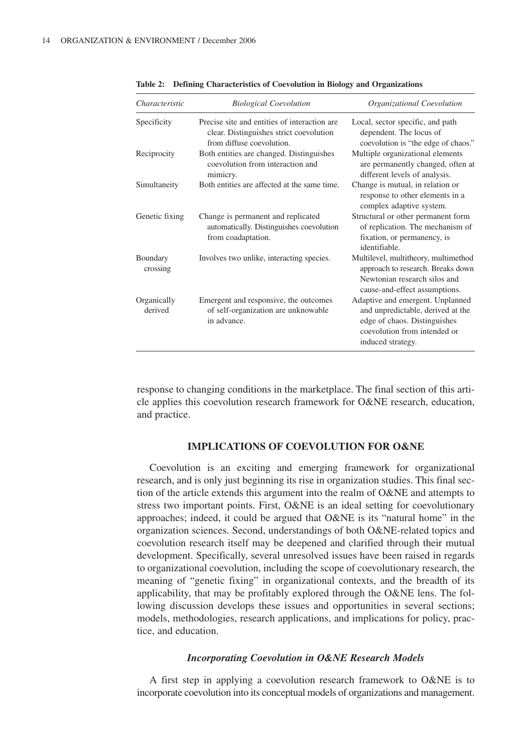| Characteristic         | <b>Biological Coevolution</b>                                                                                         | Organizational Coevolution                                                                                                                                 |
|------------------------|-----------------------------------------------------------------------------------------------------------------------|------------------------------------------------------------------------------------------------------------------------------------------------------------|
| Specificity            | Precise site and entities of interaction are.<br>clear. Distinguishes strict coevolution<br>from diffuse coevolution. | Local, sector specific, and path<br>dependent. The locus of<br>coevolution is "the edge of chaos."                                                         |
| Reciprocity            | Both entities are changed. Distinguishes<br>coevolution from interaction and<br>mimicry.                              | Multiple organizational elements<br>are permanently changed, often at<br>different levels of analysis.                                                     |
| Simultaneity           | Both entities are affected at the same time.                                                                          | Change is mutual, in relation or<br>response to other elements in a<br>complex adaptive system.                                                            |
| Genetic fixing         | Change is permanent and replicated<br>automatically. Distinguishes coevolution<br>from coadaptation.                  | Structural or other permanent form<br>of replication. The mechanism of<br>fixation, or permanency, is<br>identifiable.                                     |
| Boundary<br>crossing   | Involves two unlike, interacting species.                                                                             | Multilevel, multitheory, multimethod<br>approach to research. Breaks down<br>Newtonian research silos and<br>cause-and-effect assumptions.                 |
| Organically<br>derived | Emergent and responsive, the outcomes<br>of self-organization are unknowable<br>in advance.                           | Adaptive and emergent. Unplanned<br>and unpredictable, derived at the<br>edge of chaos. Distinguishes<br>coevolution from intended or<br>induced strategy. |

**Table 2: Defining Characteristics of Coevolution in Biology and Organizations**

response to changing conditions in the marketplace. The final section of this article applies this coevolution research framework for O&NE research, education, and practice.

# **IMPLICATIONS OF COEVOLUTION FOR O&NE**

Coevolution is an exciting and emerging framework for organizational research, and is only just beginning its rise in organization studies. This final section of the article extends this argument into the realm of O&NE and attempts to stress two important points. First, O&NE is an ideal setting for coevolutionary approaches; indeed, it could be argued that O&NE is its "natural home" in the organization sciences. Second, understandings of both O&NE-related topics and coevolution research itself may be deepened and clarified through their mutual development. Specifically, several unresolved issues have been raised in regards to organizational coevolution, including the scope of coevolutionary research, the meaning of "genetic fixing" in organizational contexts, and the breadth of its applicability, that may be profitably explored through the O&NE lens. The following discussion develops these issues and opportunities in several sections; models, methodologies, research applications, and implications for policy, practice, and education.

#### *Incorporating Coevolution in O&NE Research Models*

A first step in applying a coevolution research framework to O&NE is to incorporate coevolution into its conceptual models of organizations and management.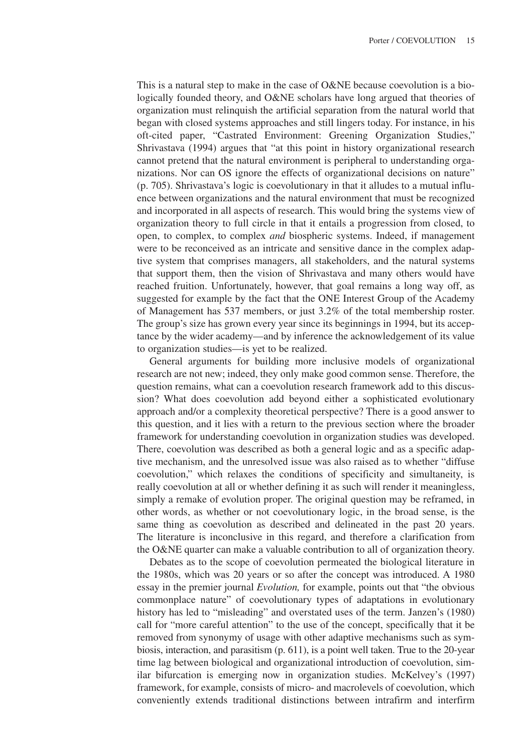This is a natural step to make in the case of O&NE because coevolution is a biologically founded theory, and O&NE scholars have long argued that theories of organization must relinquish the artificial separation from the natural world that began with closed systems approaches and still lingers today. For instance, in his oft-cited paper, "Castrated Environment: Greening Organization Studies," Shrivastava (1994) argues that "at this point in history organizational research cannot pretend that the natural environment is peripheral to understanding organizations. Nor can OS ignore the effects of organizational decisions on nature" (p. 705). Shrivastava's logic is coevolutionary in that it alludes to a mutual influence between organizations and the natural environment that must be recognized and incorporated in all aspects of research. This would bring the systems view of organization theory to full circle in that it entails a progression from closed, to open, to complex, to complex *and* biospheric systems. Indeed, if management were to be reconceived as an intricate and sensitive dance in the complex adaptive system that comprises managers, all stakeholders, and the natural systems that support them, then the vision of Shrivastava and many others would have reached fruition. Unfortunately, however, that goal remains a long way off, as suggested for example by the fact that the ONE Interest Group of the Academy of Management has 537 members, or just 3.2% of the total membership roster. The group's size has grown every year since its beginnings in 1994, but its acceptance by the wider academy—and by inference the acknowledgement of its value to organization studies—is yet to be realized.

General arguments for building more inclusive models of organizational research are not new; indeed, they only make good common sense. Therefore, the question remains, what can a coevolution research framework add to this discussion? What does coevolution add beyond either a sophisticated evolutionary approach and/or a complexity theoretical perspective? There is a good answer to this question, and it lies with a return to the previous section where the broader framework for understanding coevolution in organization studies was developed. There, coevolution was described as both a general logic and as a specific adaptive mechanism, and the unresolved issue was also raised as to whether "diffuse coevolution," which relaxes the conditions of specificity and simultaneity, is really coevolution at all or whether defining it as such will render it meaningless, simply a remake of evolution proper. The original question may be reframed, in other words, as whether or not coevolutionary logic, in the broad sense, is the same thing as coevolution as described and delineated in the past 20 years. The literature is inconclusive in this regard, and therefore a clarification from the O&NE quarter can make a valuable contribution to all of organization theory.

Debates as to the scope of coevolution permeated the biological literature in the 1980s, which was 20 years or so after the concept was introduced. A 1980 essay in the premier journal *Evolution,* for example, points out that "the obvious commonplace nature" of coevolutionary types of adaptations in evolutionary history has led to "misleading" and overstated uses of the term. Janzen's (1980) call for "more careful attention" to the use of the concept, specifically that it be removed from synonymy of usage with other adaptive mechanisms such as symbiosis, interaction, and parasitism (p. 611), is a point well taken. True to the 20-year time lag between biological and organizational introduction of coevolution, similar bifurcation is emerging now in organization studies. McKelvey's (1997) framework, for example, consists of micro- and macrolevels of coevolution, which conveniently extends traditional distinctions between intrafirm and interfirm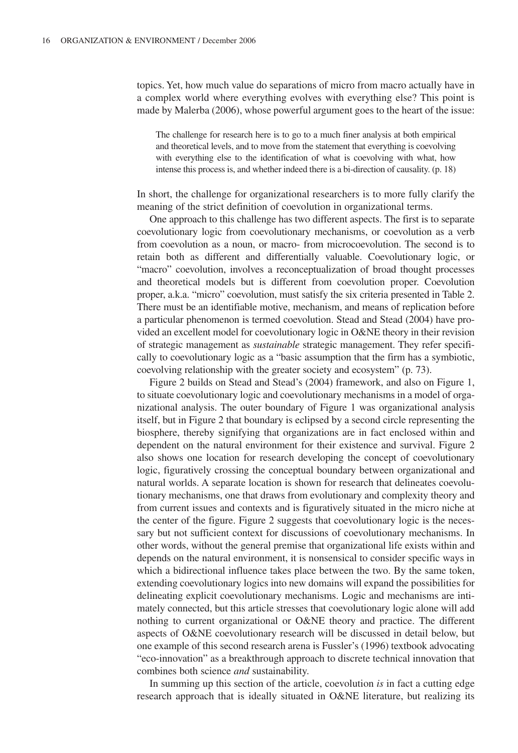topics. Yet, how much value do separations of micro from macro actually have in a complex world where everything evolves with everything else? This point is made by Malerba (2006), whose powerful argument goes to the heart of the issue:

The challenge for research here is to go to a much finer analysis at both empirical and theoretical levels, and to move from the statement that everything is coevolving with everything else to the identification of what is coevolving with what, how intense this process is, and whether indeed there is a bi-direction of causality. (p. 18)

In short, the challenge for organizational researchers is to more fully clarify the meaning of the strict definition of coevolution in organizational terms.

One approach to this challenge has two different aspects. The first is to separate coevolutionary logic from coevolutionary mechanisms, or coevolution as a verb from coevolution as a noun, or macro- from microcoevolution. The second is to retain both as different and differentially valuable. Coevolutionary logic, or "macro" coevolution, involves a reconceptualization of broad thought processes and theoretical models but is different from coevolution proper. Coevolution proper, a.k.a. "micro" coevolution, must satisfy the six criteria presented in Table 2. There must be an identifiable motive, mechanism, and means of replication before a particular phenomenon is termed coevolution. Stead and Stead (2004) have provided an excellent model for coevolutionary logic in O&NE theory in their revision of strategic management as *sustainable* strategic management. They refer specifically to coevolutionary logic as a "basic assumption that the firm has a symbiotic, coevolving relationship with the greater society and ecosystem" (p. 73).

Figure 2 builds on Stead and Stead's (2004) framework, and also on Figure 1, to situate coevolutionary logic and coevolutionary mechanisms in a model of organizational analysis. The outer boundary of Figure 1 was organizational analysis itself, but in Figure 2 that boundary is eclipsed by a second circle representing the biosphere, thereby signifying that organizations are in fact enclosed within and dependent on the natural environment for their existence and survival. Figure 2 also shows one location for research developing the concept of coevolutionary logic, figuratively crossing the conceptual boundary between organizational and natural worlds. A separate location is shown for research that delineates coevolutionary mechanisms, one that draws from evolutionary and complexity theory and from current issues and contexts and is figuratively situated in the micro niche at the center of the figure. Figure 2 suggests that coevolutionary logic is the necessary but not sufficient context for discussions of coevolutionary mechanisms. In other words, without the general premise that organizational life exists within and depends on the natural environment, it is nonsensical to consider specific ways in which a bidirectional influence takes place between the two. By the same token, extending coevolutionary logics into new domains will expand the possibilities for delineating explicit coevolutionary mechanisms. Logic and mechanisms are intimately connected, but this article stresses that coevolutionary logic alone will add nothing to current organizational or O&NE theory and practice. The different aspects of O&NE coevolutionary research will be discussed in detail below, but one example of this second research arena is Fussler's (1996) textbook advocating "eco-innovation" as a breakthrough approach to discrete technical innovation that combines both science *and* sustainability.

In summing up this section of the article, coevolution *is* in fact a cutting edge research approach that is ideally situated in O&NE literature, but realizing its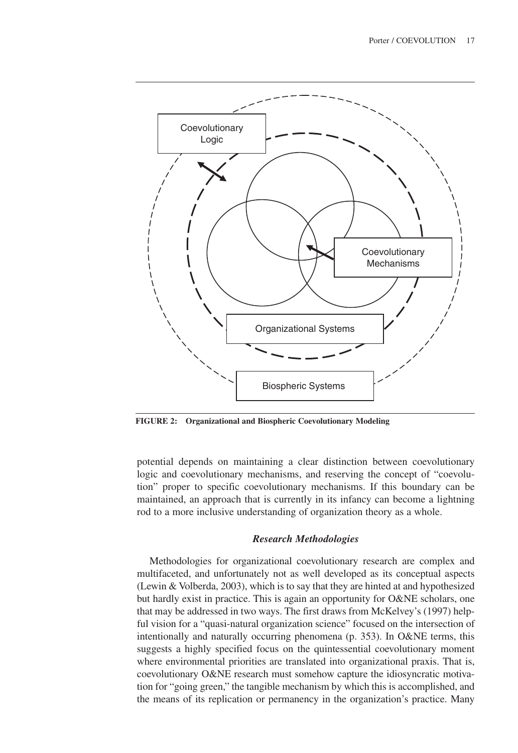

**FIGURE 2: Organizational and Biospheric Coevolutionary Modeling**

potential depends on maintaining a clear distinction between coevolutionary logic and coevolutionary mechanisms, and reserving the concept of "coevolution" proper to specific coevolutionary mechanisms. If this boundary can be maintained, an approach that is currently in its infancy can become a lightning rod to a more inclusive understanding of organization theory as a whole.

## *Research Methodologies*

Methodologies for organizational coevolutionary research are complex and multifaceted, and unfortunately not as well developed as its conceptual aspects (Lewin & Volberda, 2003), which is to say that they are hinted at and hypothesized but hardly exist in practice. This is again an opportunity for O&NE scholars, one that may be addressed in two ways. The first draws from McKelvey's (1997) helpful vision for a "quasi-natural organization science" focused on the intersection of intentionally and naturally occurring phenomena (p. 353). In O&NE terms, this suggests a highly specified focus on the quintessential coevolutionary moment where environmental priorities are translated into organizational praxis. That is, coevolutionary O&NE research must somehow capture the idiosyncratic motivation for "going green," the tangible mechanism by which this is accomplished, and the means of its replication or permanency in the organization's practice. Many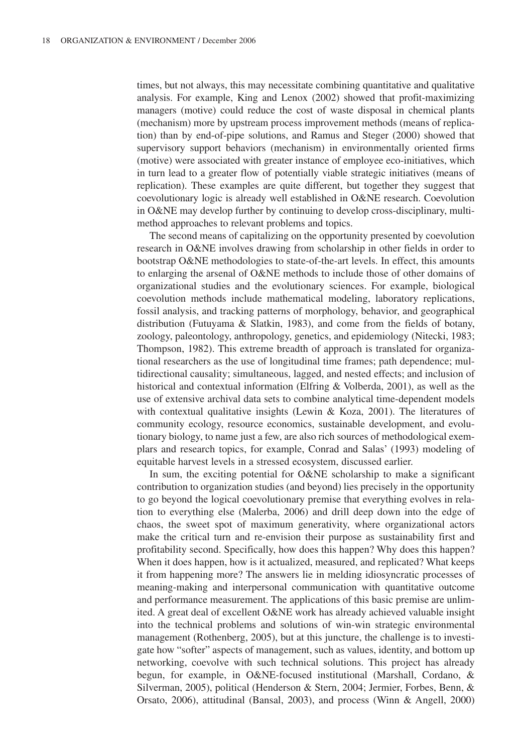times, but not always, this may necessitate combining quantitative and qualitative analysis. For example, King and Lenox (2002) showed that profit-maximizing managers (motive) could reduce the cost of waste disposal in chemical plants (mechanism) more by upstream process improvement methods (means of replication) than by end-of-pipe solutions, and Ramus and Steger (2000) showed that supervisory support behaviors (mechanism) in environmentally oriented firms (motive) were associated with greater instance of employee eco-initiatives, which in turn lead to a greater flow of potentially viable strategic initiatives (means of replication). These examples are quite different, but together they suggest that coevolutionary logic is already well established in O&NE research. Coevolution in O&NE may develop further by continuing to develop cross-disciplinary, multimethod approaches to relevant problems and topics.

The second means of capitalizing on the opportunity presented by coevolution research in O&NE involves drawing from scholarship in other fields in order to bootstrap O&NE methodologies to state-of-the-art levels. In effect, this amounts to enlarging the arsenal of O&NE methods to include those of other domains of organizational studies and the evolutionary sciences. For example, biological coevolution methods include mathematical modeling, laboratory replications, fossil analysis, and tracking patterns of morphology, behavior, and geographical distribution (Futuyama & Slatkin, 1983), and come from the fields of botany, zoology, paleontology, anthropology, genetics, and epidemiology (Nitecki, 1983; Thompson, 1982). This extreme breadth of approach is translated for organizational researchers as the use of longitudinal time frames; path dependence; multidirectional causality; simultaneous, lagged, and nested effects; and inclusion of historical and contextual information (Elfring & Volberda, 2001), as well as the use of extensive archival data sets to combine analytical time-dependent models with contextual qualitative insights (Lewin & Koza, 2001). The literatures of community ecology, resource economics, sustainable development, and evolutionary biology, to name just a few, are also rich sources of methodological exemplars and research topics, for example, Conrad and Salas' (1993) modeling of equitable harvest levels in a stressed ecosystem, discussed earlier.

In sum, the exciting potential for O&NE scholarship to make a significant contribution to organization studies (and beyond) lies precisely in the opportunity to go beyond the logical coevolutionary premise that everything evolves in relation to everything else (Malerba, 2006) and drill deep down into the edge of chaos, the sweet spot of maximum generativity, where organizational actors make the critical turn and re-envision their purpose as sustainability first and profitability second. Specifically, how does this happen? Why does this happen? When it does happen, how is it actualized, measured, and replicated? What keeps it from happening more? The answers lie in melding idiosyncratic processes of meaning-making and interpersonal communication with quantitative outcome and performance measurement. The applications of this basic premise are unlimited. A great deal of excellent O&NE work has already achieved valuable insight into the technical problems and solutions of win-win strategic environmental management (Rothenberg, 2005), but at this juncture, the challenge is to investigate how "softer" aspects of management, such as values, identity, and bottom up networking, coevolve with such technical solutions. This project has already begun, for example, in O&NE-focused institutional (Marshall, Cordano, & Silverman, 2005), political (Henderson & Stern, 2004; Jermier, Forbes, Benn, & Orsato, 2006), attitudinal (Bansal, 2003), and process (Winn & Angell, 2000)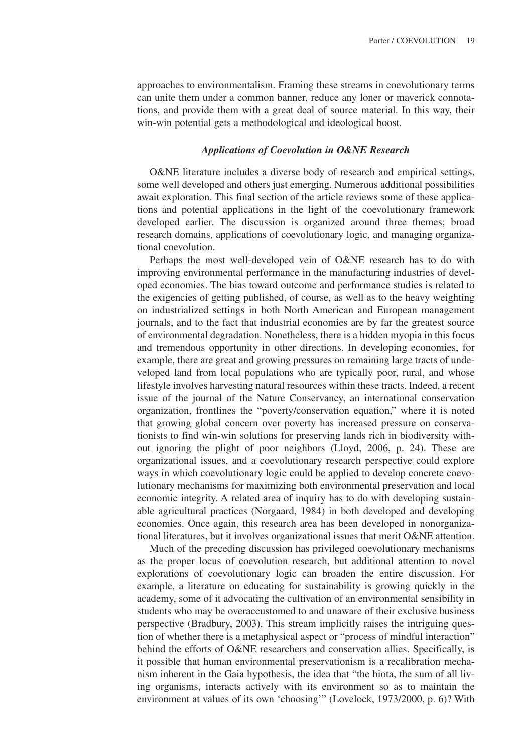approaches to environmentalism. Framing these streams in coevolutionary terms can unite them under a common banner, reduce any loner or maverick connotations, and provide them with a great deal of source material. In this way, their win-win potential gets a methodological and ideological boost.

#### *Applications of Coevolution in O&NE Research*

O&NE literature includes a diverse body of research and empirical settings, some well developed and others just emerging. Numerous additional possibilities await exploration. This final section of the article reviews some of these applications and potential applications in the light of the coevolutionary framework developed earlier. The discussion is organized around three themes; broad research domains, applications of coevolutionary logic, and managing organizational coevolution.

Perhaps the most well-developed vein of O&NE research has to do with improving environmental performance in the manufacturing industries of developed economies. The bias toward outcome and performance studies is related to the exigencies of getting published, of course, as well as to the heavy weighting on industrialized settings in both North American and European management journals, and to the fact that industrial economies are by far the greatest source of environmental degradation. Nonetheless, there is a hidden myopia in this focus and tremendous opportunity in other directions. In developing economies, for example, there are great and growing pressures on remaining large tracts of undeveloped land from local populations who are typically poor, rural, and whose lifestyle involves harvesting natural resources within these tracts. Indeed, a recent issue of the journal of the Nature Conservancy, an international conservation organization, frontlines the "poverty/conservation equation," where it is noted that growing global concern over poverty has increased pressure on conservationists to find win-win solutions for preserving lands rich in biodiversity without ignoring the plight of poor neighbors (Lloyd, 2006, p. 24). These are organizational issues, and a coevolutionary research perspective could explore ways in which coevolutionary logic could be applied to develop concrete coevolutionary mechanisms for maximizing both environmental preservation and local economic integrity. A related area of inquiry has to do with developing sustainable agricultural practices (Norgaard, 1984) in both developed and developing economies. Once again, this research area has been developed in nonorganizational literatures, but it involves organizational issues that merit O&NE attention.

Much of the preceding discussion has privileged coevolutionary mechanisms as the proper locus of coevolution research, but additional attention to novel explorations of coevolutionary logic can broaden the entire discussion. For example, a literature on educating for sustainability is growing quickly in the academy, some of it advocating the cultivation of an environmental sensibility in students who may be overaccustomed to and unaware of their exclusive business perspective (Bradbury, 2003). This stream implicitly raises the intriguing question of whether there is a metaphysical aspect or "process of mindful interaction" behind the efforts of O&NE researchers and conservation allies. Specifically, is it possible that human environmental preservationism is a recalibration mechanism inherent in the Gaia hypothesis, the idea that "the biota, the sum of all living organisms, interacts actively with its environment so as to maintain the environment at values of its own 'choosing'" (Lovelock, 1973/2000, p. 6)? With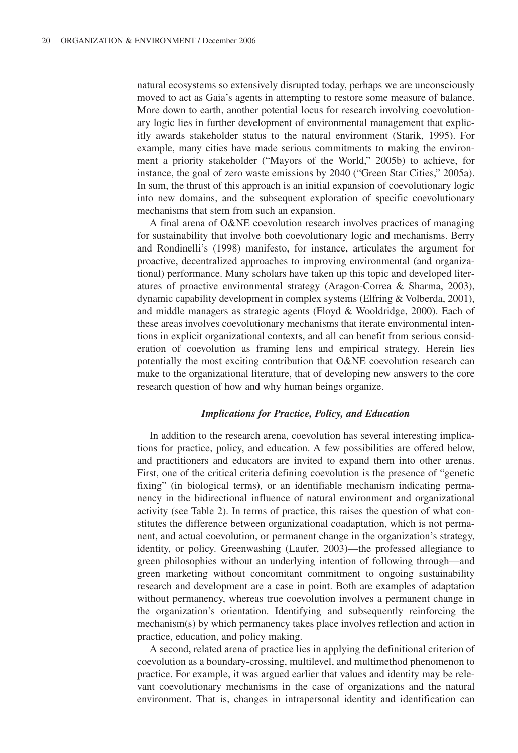natural ecosystems so extensively disrupted today, perhaps we are unconsciously moved to act as Gaia's agents in attempting to restore some measure of balance. More down to earth, another potential locus for research involving coevolutionary logic lies in further development of environmental management that explicitly awards stakeholder status to the natural environment (Starik, 1995). For example, many cities have made serious commitments to making the environment a priority stakeholder ("Mayors of the World," 2005b) to achieve, for instance, the goal of zero waste emissions by 2040 ("Green Star Cities," 2005a). In sum, the thrust of this approach is an initial expansion of coevolutionary logic into new domains, and the subsequent exploration of specific coevolutionary mechanisms that stem from such an expansion.

A final arena of O&NE coevolution research involves practices of managing for sustainability that involve both coevolutionary logic and mechanisms. Berry and Rondinelli's (1998) manifesto, for instance, articulates the argument for proactive, decentralized approaches to improving environmental (and organizational) performance. Many scholars have taken up this topic and developed literatures of proactive environmental strategy (Aragon-Correa & Sharma, 2003), dynamic capability development in complex systems (Elfring & Volberda, 2001), and middle managers as strategic agents (Floyd & Wooldridge, 2000). Each of these areas involves coevolutionary mechanisms that iterate environmental intentions in explicit organizational contexts, and all can benefit from serious consideration of coevolution as framing lens and empirical strategy. Herein lies potentially the most exciting contribution that O&NE coevolution research can make to the organizational literature, that of developing new answers to the core research question of how and why human beings organize.

#### *Implications for Practice, Policy, and Education*

In addition to the research arena, coevolution has several interesting implications for practice, policy, and education. A few possibilities are offered below, and practitioners and educators are invited to expand them into other arenas. First, one of the critical criteria defining coevolution is the presence of "genetic fixing" (in biological terms), or an identifiable mechanism indicating permanency in the bidirectional influence of natural environment and organizational activity (see Table 2). In terms of practice, this raises the question of what constitutes the difference between organizational coadaptation, which is not permanent, and actual coevolution, or permanent change in the organization's strategy, identity, or policy. Greenwashing (Laufer, 2003)—the professed allegiance to green philosophies without an underlying intention of following through—and green marketing without concomitant commitment to ongoing sustainability research and development are a case in point. Both are examples of adaptation without permanency, whereas true coevolution involves a permanent change in the organization's orientation. Identifying and subsequently reinforcing the mechanism(s) by which permanency takes place involves reflection and action in practice, education, and policy making.

A second, related arena of practice lies in applying the definitional criterion of coevolution as a boundary-crossing, multilevel, and multimethod phenomenon to practice. For example, it was argued earlier that values and identity may be relevant coevolutionary mechanisms in the case of organizations and the natural environment. That is, changes in intrapersonal identity and identification can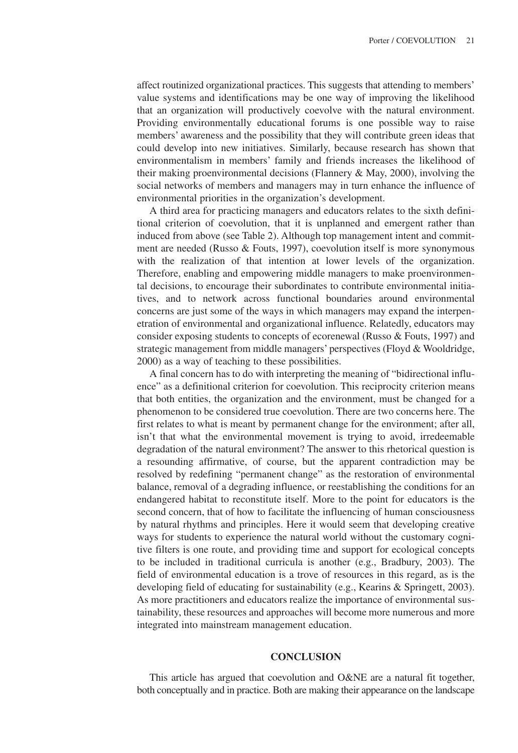affect routinized organizational practices. This suggests that attending to members' value systems and identifications may be one way of improving the likelihood that an organization will productively coevolve with the natural environment. Providing environmentally educational forums is one possible way to raise members' awareness and the possibility that they will contribute green ideas that could develop into new initiatives. Similarly, because research has shown that environmentalism in members' family and friends increases the likelihood of their making proenvironmental decisions (Flannery & May, 2000), involving the social networks of members and managers may in turn enhance the influence of environmental priorities in the organization's development.

A third area for practicing managers and educators relates to the sixth definitional criterion of coevolution, that it is unplanned and emergent rather than induced from above (see Table 2). Although top management intent and commitment are needed (Russo & Fouts, 1997), coevolution itself is more synonymous with the realization of that intention at lower levels of the organization. Therefore, enabling and empowering middle managers to make proenvironmental decisions, to encourage their subordinates to contribute environmental initiatives, and to network across functional boundaries around environmental concerns are just some of the ways in which managers may expand the interpenetration of environmental and organizational influence. Relatedly, educators may consider exposing students to concepts of ecorenewal (Russo & Fouts, 1997) and strategic management from middle managers' perspectives (Floyd & Wooldridge, 2000) as a way of teaching to these possibilities.

A final concern has to do with interpreting the meaning of "bidirectional influence" as a definitional criterion for coevolution. This reciprocity criterion means that both entities, the organization and the environment, must be changed for a phenomenon to be considered true coevolution. There are two concerns here. The first relates to what is meant by permanent change for the environment; after all, isn't that what the environmental movement is trying to avoid, irredeemable degradation of the natural environment? The answer to this rhetorical question is a resounding affirmative, of course, but the apparent contradiction may be resolved by redefining "permanent change" as the restoration of environmental balance, removal of a degrading influence, or reestablishing the conditions for an endangered habitat to reconstitute itself. More to the point for educators is the second concern, that of how to facilitate the influencing of human consciousness by natural rhythms and principles. Here it would seem that developing creative ways for students to experience the natural world without the customary cognitive filters is one route, and providing time and support for ecological concepts to be included in traditional curricula is another (e.g., Bradbury, 2003). The field of environmental education is a trove of resources in this regard, as is the developing field of educating for sustainability (e.g., Kearins & Springett, 2003). As more practitioners and educators realize the importance of environmental sustainability, these resources and approaches will become more numerous and more integrated into mainstream management education.

# **CONCLUSION**

This article has argued that coevolution and O&NE are a natural fit together, both conceptually and in practice. Both are making their appearance on the landscape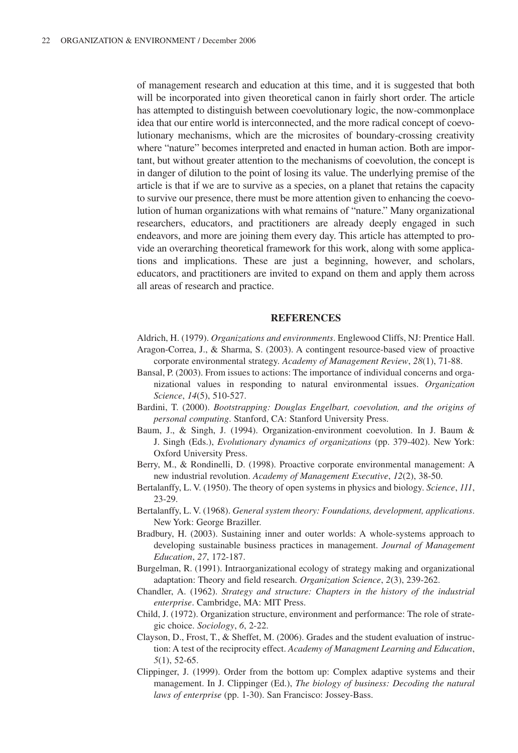of management research and education at this time, and it is suggested that both will be incorporated into given theoretical canon in fairly short order. The article has attempted to distinguish between coevolutionary logic, the now-commonplace idea that our entire world is interconnected, and the more radical concept of coevolutionary mechanisms, which are the microsites of boundary-crossing creativity where "nature" becomes interpreted and enacted in human action. Both are important, but without greater attention to the mechanisms of coevolution, the concept is in danger of dilution to the point of losing its value. The underlying premise of the article is that if we are to survive as a species, on a planet that retains the capacity to survive our presence, there must be more attention given to enhancing the coevolution of human organizations with what remains of "nature." Many organizational researchers, educators, and practitioners are already deeply engaged in such endeavors, and more are joining them every day. This article has attempted to provide an overarching theoretical framework for this work, along with some applications and implications. These are just a beginning, however, and scholars, educators, and practitioners are invited to expand on them and apply them across all areas of research and practice.

# **REFERENCES**

- Aldrich, H. (1979). *Organizations and environments*. Englewood Cliffs, NJ: Prentice Hall. Aragon-Correa, J., & Sharma, S. (2003). A contingent resource-based view of proactive corporate environmental strategy. *Academy of Management Review*, *28*(1), 71-88.
- Bansal, P. (2003). From issues to actions: The importance of individual concerns and organizational values in responding to natural environmental issues. *Organization Science*, *14*(5), 510-527.
- Bardini, T. (2000). *Bootstrapping: Douglas Engelbart, coevolution, and the origins of personal computing*. Stanford, CA: Stanford University Press.
- Baum, J., & Singh, J. (1994). Organization-environment coevolution. In J. Baum & J. Singh (Eds.), *Evolutionary dynamics of organizations* (pp. 379-402). New York: Oxford University Press.
- Berry, M., & Rondinelli, D. (1998). Proactive corporate environmental management: A new industrial revolution. *Academy of Management Executive*, *12*(2), 38-50.
- Bertalanffy, L. V. (1950). The theory of open systems in physics and biology. *Science*, *111*, 23-29.
- Bertalanffy, L. V. (1968). *General system theory: Foundations, development, applications*. New York: George Braziller.
- Bradbury, H. (2003). Sustaining inner and outer worlds: A whole-systems approach to developing sustainable business practices in management. *Journal of Management Education*, *27*, 172-187.
- Burgelman, R. (1991). Intraorganizational ecology of strategy making and organizational adaptation: Theory and field research. *Organization Science*, *2*(3), 239-262.
- Chandler, A. (1962). *Strategy and structure: Chapters in the history of the industrial enterprise*. Cambridge, MA: MIT Press.
- Child, J. (1972). Organization structure, environment and performance: The role of strategic choice. *Sociology*, *6*, 2-22.
- Clayson, D., Frost, T., & Sheffet, M. (2006). Grades and the student evaluation of instruction: A test of the reciprocity effect. *Academy of Managment Learning and Education*, *5*(1), 52-65.
- Clippinger, J. (1999). Order from the bottom up: Complex adaptive systems and their management. In J. Clippinger (Ed.), *The biology of business: Decoding the natural laws of enterprise* (pp. 1-30). San Francisco: Jossey-Bass.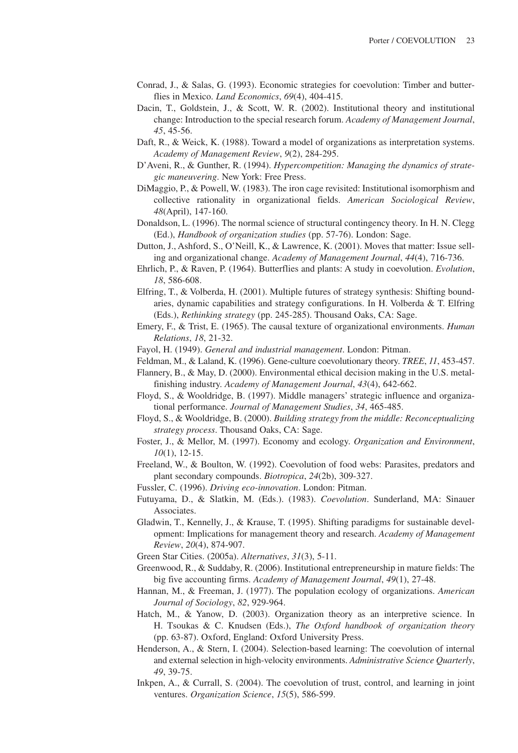- Conrad, J., & Salas, G. (1993). Economic strategies for coevolution: Timber and butterflies in Mexico. *Land Economics*, *69*(4), 404-415.
- Dacin, T., Goldstein, J., & Scott, W. R. (2002). Institutional theory and institutional change: Introduction to the special research forum. *Academy of Management Journal*, *45*, 45-56.
- Daft, R., & Weick, K. (1988). Toward a model of organizations as interpretation systems. *Academy of Management Review*, *9*(2), 284-295.
- D'Aveni, R., & Gunther, R. (1994). *Hypercompetition: Managing the dynamics of strategic maneuvering*. New York: Free Press.
- DiMaggio, P., & Powell, W. (1983). The iron cage revisited: Institutional isomorphism and collective rationality in organizational fields. *American Sociological Review*, *48*(April), 147-160.
- Donaldson, L. (1996). The normal science of structural contingency theory. In H. N. Clegg (Ed.), *Handbook of organization studies* (pp. 57-76). London: Sage.
- Dutton, J., Ashford, S., O'Neill, K., & Lawrence, K. (2001). Moves that matter: Issue selling and organizational change. *Academy of Management Journal*, *44*(4), 716-736.
- Ehrlich, P., & Raven, P. (1964). Butterflies and plants: A study in coevolution. *Evolution*, *18*, 586-608.
- Elfring, T., & Volberda, H. (2001). Multiple futures of strategy synthesis: Shifting boundaries, dynamic capabilities and strategy configurations. In H. Volberda  $&$  T. Elfring (Eds.), *Rethinking strategy* (pp. 245-285). Thousand Oaks, CA: Sage.
- Emery, F., & Trist, E. (1965). The causal texture of organizational environments. *Human Relations*, *18*, 21-32.
- Fayol, H. (1949). *General and industrial management*. London: Pitman.
- Feldman, M., & Laland, K. (1996). Gene-culture coevolutionary theory. *TREE*, *11*, 453-457.
- Flannery, B., & May, D. (2000). Environmental ethical decision making in the U.S. metalfinishing industry. *Academy of Management Journal*, *43*(4), 642-662.
- Floyd, S., & Wooldridge, B. (1997). Middle managers' strategic influence and organizational performance. *Journal of Management Studies*, *34*, 465-485.
- Floyd, S., & Wooldridge, B. (2000). *Building strategy from the middle: Reconceptualizing strategy process*. Thousand Oaks, CA: Sage.
- Foster, J., & Mellor, M. (1997). Economy and ecology. *Organization and Environment*, *10*(1), 12-15.
- Freeland, W., & Boulton, W. (1992). Coevolution of food webs: Parasites, predators and plant secondary compounds. *Biotropica*, *24*(2b), 309-327.
- Fussler, C. (1996). *Driving eco-innovation*. London: Pitman.
- Futuyama, D., & Slatkin, M. (Eds.). (1983). *Coevolution*. Sunderland, MA: Sinauer Associates.
- Gladwin, T., Kennelly, J., & Krause, T. (1995). Shifting paradigms for sustainable development: Implications for management theory and research. *Academy of Management Review*, *20*(4), 874-907.
- Green Star Cities. (2005a). *Alternatives*, *31*(3), 5-11.
- Greenwood, R., & Suddaby, R. (2006). Institutional entrepreneurship in mature fields: The big five accounting firms. *Academy of Management Journal*, *49*(1), 27-48.
- Hannan, M., & Freeman, J. (1977). The population ecology of organizations. *American Journal of Sociology*, *82*, 929-964.
- Hatch, M., & Yanow, D. (2003). Organization theory as an interpretive science. In H. Tsoukas & C. Knudsen (Eds.), *The Oxford handbook of organization theory* (pp. 63-87). Oxford, England: Oxford University Press.
- Henderson, A., & Stern, I. (2004). Selection-based learning: The coevolution of internal and external selection in high-velocity environments. *Administrative Science Quarterly*, *49*, 39-75.
- Inkpen, A., & Currall, S. (2004). The coevolution of trust, control, and learning in joint ventures. *Organization Science*, *15*(5), 586-599.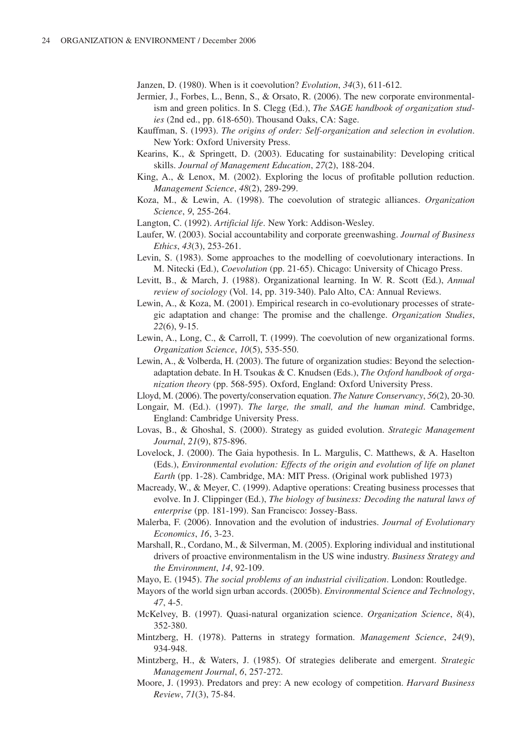Janzen, D. (1980). When is it coevolution? *Evolution*, *34*(3), 611-612.

- Jermier, J., Forbes, L., Benn, S., & Orsato, R. (2006). The new corporate environmentalism and green politics. In S. Clegg (Ed.), *The SAGE handbook of organization studies* (2nd ed., pp. 618-650). Thousand Oaks, CA: Sage.
- Kauffman, S. (1993). *The origins of order: Self-organization and selection in evolution*. New York: Oxford University Press.
- Kearins, K., & Springett, D. (2003). Educating for sustainability: Developing critical skills. *Journal of Management Education*, *27*(2), 188-204.
- King, A., & Lenox, M. (2002). Exploring the locus of profitable pollution reduction. *Management Science*, *48*(2), 289-299.
- Koza, M., & Lewin, A. (1998). The coevolution of strategic alliances. *Organization Science*, *9*, 255-264.
- Langton, C. (1992). *Artificial life*. New York: Addison-Wesley.
- Laufer, W. (2003). Social accountability and corporate greenwashing. *Journal of Business Ethics*, *43*(3), 253-261.
- Levin, S. (1983). Some approaches to the modelling of coevolutionary interactions. In M. Nitecki (Ed.), *Coevolution* (pp. 21-65). Chicago: University of Chicago Press.
- Levitt, B., & March, J. (1988). Organizational learning. In W. R. Scott (Ed.), *Annual review of sociology* (Vol. 14, pp. 319-340). Palo Alto, CA: Annual Reviews.
- Lewin, A., & Koza, M. (2001). Empirical research in co-evolutionary processes of strategic adaptation and change: The promise and the challenge. *Organization Studies*, *22*(6), 9-15.
- Lewin, A., Long, C., & Carroll, T. (1999). The coevolution of new organizational forms. *Organization Science*, *10*(5), 535-550.
- Lewin, A., & Volberda, H. (2003). The future of organization studies: Beyond the selectionadaptation debate. In H. Tsoukas & C. Knudsen (Eds.), *The Oxford handbook of organization theory* (pp. 568-595). Oxford, England: Oxford University Press.

Lloyd, M. (2006). The poverty/conservation equation. *The Nature Conservancy*, *56*(2), 20-30.

- Longair, M. (Ed.). (1997). *The large, the small, and the human mind*. Cambridge, England: Cambridge University Press.
- Lovas, B., & Ghoshal, S. (2000). Strategy as guided evolution. *Strategic Management Journal*, *21*(9), 875-896.
- Lovelock, J. (2000). The Gaia hypothesis. In L. Margulis, C. Matthews, & A. Haselton (Eds.), *Environmental evolution: Effects of the origin and evolution of life on planet Earth* (pp. 1-28). Cambridge, MA: MIT Press. (Original work published 1973)
- Macready, W., & Meyer, C. (1999). Adaptive operations: Creating business processes that evolve. In J. Clippinger (Ed.), *The biology of business: Decoding the natural laws of enterprise* (pp. 181-199). San Francisco: Jossey-Bass.
- Malerba, F. (2006). Innovation and the evolution of industries. *Journal of Evolutionary Economics*, *16*, 3-23.
- Marshall, R., Cordano, M., & Silverman, M. (2005). Exploring individual and institutional drivers of proactive environmentalism in the US wine industry. *Business Strategy and the Environment*, *14*, 92-109.
- Mayo, E. (1945). *The social problems of an industrial civilization*. London: Routledge.
- Mayors of the world sign urban accords. (2005b). *Environmental Science and Technology*, *47*, 4-5.
- McKelvey, B. (1997). Quasi-natural organization science. *Organization Science*, *8*(4), 352-380.
- Mintzberg, H. (1978). Patterns in strategy formation. *Management Science*, *24*(9), 934-948.
- Mintzberg, H., & Waters, J. (1985). Of strategies deliberate and emergent. *Strategic Management Journal*, *6*, 257-272.
- Moore, J. (1993). Predators and prey: A new ecology of competition. *Harvard Business Review*, *71*(3), 75-84.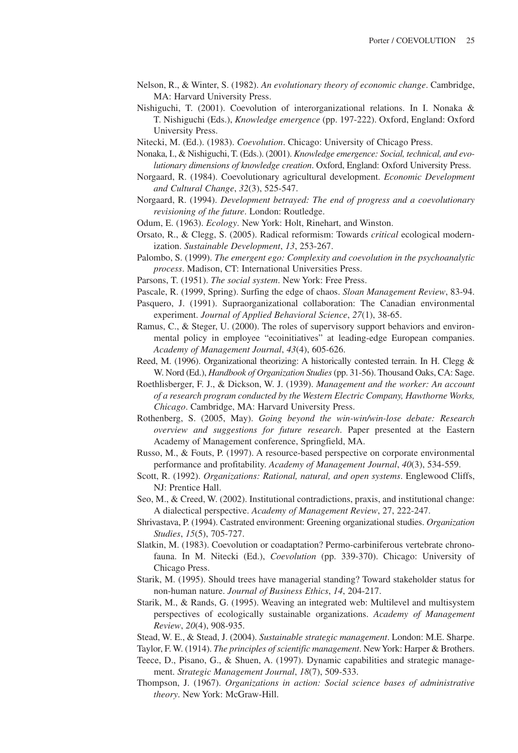- Nelson, R., & Winter, S. (1982). *An evolutionary theory of economic change*. Cambridge, MA: Harvard University Press.
- Nishiguchi, T. (2001). Coevolution of interorganizational relations. In I. Nonaka & T. Nishiguchi (Eds.), *Knowledge emergence* (pp. 197-222). Oxford, England: Oxford University Press.
- Nitecki, M. (Ed.). (1983). *Coevolution*. Chicago: University of Chicago Press.
- Nonaka, I., & Nishiguchi, T. (Eds.). (2001). *Knowledge emergence: Social, technical, and evolutionary dimensions of knowledge creation*. Oxford, England: Oxford University Press.
- Norgaard, R. (1984). Coevolutionary agricultural development. *Economic Development and Cultural Change*, *32*(3), 525-547.
- Norgaard, R. (1994). *Development betrayed: The end of progress and a coevolutionary revisioning of the future*. London: Routledge.
- Odum, E. (1963). *Ecology*. New York: Holt, Rinehart, and Winston.
- Orsato, R., & Clegg, S. (2005). Radical reformism: Towards *critical* ecological modernization. *Sustainable Development*, *13*, 253-267.
- Palombo, S. (1999). *The emergent ego: Complexity and coevolution in the psychoanalytic process*. Madison, CT: International Universities Press.
- Parsons, T. (1951). *The social system*. New York: Free Press.
- Pascale, R. (1999, Spring). Surfing the edge of chaos. *Sloan Management Review*, 83-94.
- Pasquero, J. (1991). Supraorganizational collaboration: The Canadian environmental experiment. *Journal of Applied Behavioral Science*, *27*(1), 38-65.
- Ramus, C., & Steger, U. (2000). The roles of supervisory support behaviors and environmental policy in employee "ecoinitiatives" at leading-edge European companies. *Academy of Management Journal*, *43*(4), 605-626.
- Reed, M. (1996). Organizational theorizing: A historically contested terrain. In H. Clegg & W. Nord (Ed.), *Handbook of Organization Studies*(pp. 31-56). Thousand Oaks, CA: Sage.
- Roethlisberger, F. J., & Dickson, W. J. (1939). *Management and the worker: An account of a research program conducted by the Western Electric Company, Hawthorne Works, Chicago*. Cambridge, MA: Harvard University Press.
- Rothenberg, S. (2005, May). *Going beyond the win-win/win-lose debate: Research overview and suggestions for future research*. Paper presented at the Eastern Academy of Management conference, Springfield, MA.
- Russo, M., & Fouts, P. (1997). A resource-based perspective on corporate environmental performance and profitability. *Academy of Management Journal*, *40*(3), 534-559.
- Scott, R. (1992). *Organizations: Rational, natural, and open systems*. Englewood Cliffs, NJ: Prentice Hall.
- Seo, M., & Creed, W. (2002). Institutional contradictions, praxis, and institutional change: A dialectical perspective. *Academy of Management Review*, 27, 222-247.
- Shrivastava, P. (1994). Castrated environment: Greening organizational studies. *Organization Studies*, *15*(5), 705-727.
- Slatkin, M. (1983). Coevolution or coadaptation? Permo-carbiniferous vertebrate chronofauna. In M. Nitecki (Ed.), *Coevolution* (pp. 339-370). Chicago: University of Chicago Press.
- Starik, M. (1995). Should trees have managerial standing? Toward stakeholder status for non-human nature. *Journal of Business Ethics*, *14*, 204-217.
- Starik, M., & Rands, G. (1995). Weaving an integrated web: Multilevel and multisystem perspectives of ecologically sustainable organizations. *Academy of Management Review*, *20*(4), 908-935.
- Stead, W. E., & Stead, J. (2004). *Sustainable strategic management*. London: M.E. Sharpe.

Taylor, F. W. (1914). *The principles of scientific management*. New York: Harper & Brothers.

- Teece, D., Pisano, G., & Shuen, A. (1997). Dynamic capabilities and strategic management. *Strategic Management Journal*, *18*(7), 509-533.
- Thompson, J. (1967). *Organizations in action: Social science bases of administrative theory*. New York: McGraw-Hill.